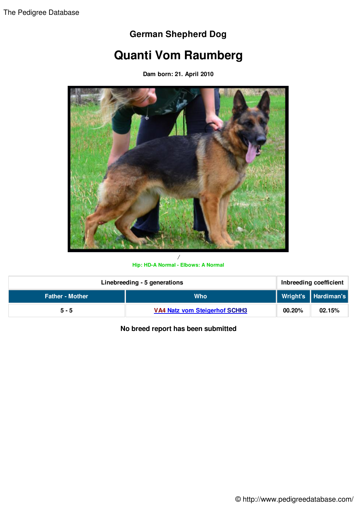## **German Shepherd Dog**

## **Quanti Vom Raumberg**

**Dam born: 21. April 2010**



## **Hip: HD-A Normal - Elbows: A Normal**

| Linebreeding - 5 generations |                                      | Inbreeding coefficient |                     |
|------------------------------|--------------------------------------|------------------------|---------------------|
| <b>Father - Mother</b>       | <b>Who</b>                           |                        | Wright's Hardiman's |
| $5 - 5$                      | <b>VA4 Natz vom Steigerhof SCHH3</b> | 00.20%                 | 02.15%              |

**No breed report has been submitted**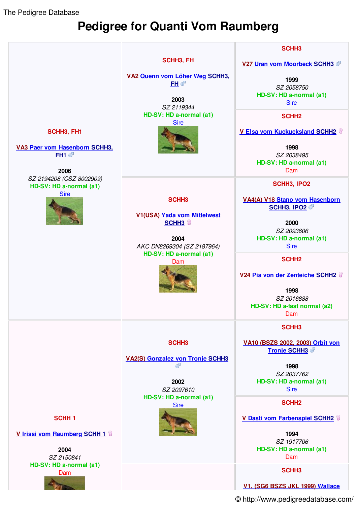The Pedigree Database

## **Pedigree for Quanti Vom Raumberg**



© http://www.pedigreedatabase.com/